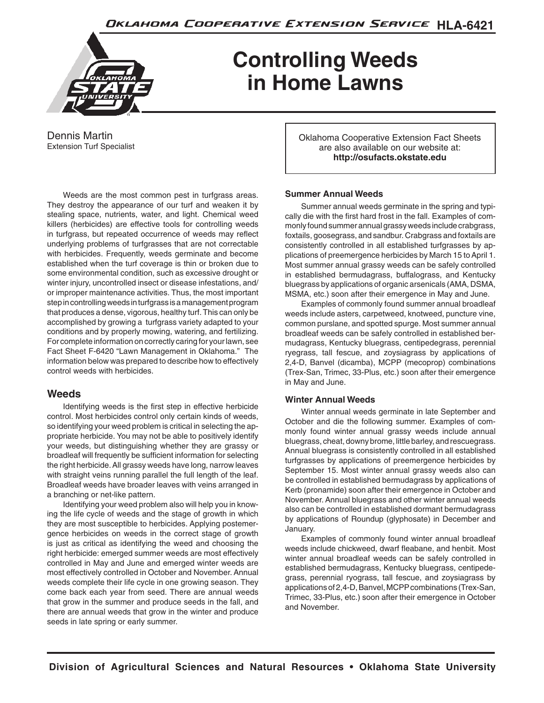

# **Controlling Weeds in Home Lawns**

Dennis Martin Extension Turf Specialist

Weeds are the most common pest in turfgrass areas. They destroy the appearance of our turf and weaken it by stealing space, nutrients, water, and light. Chemical weed killers (herbicides) are effective tools for controlling weeds in turfgrass, but repeated occurrence of weeds may reflect underlying problems of turfgrasses that are not correctable with herbicides. Frequently, weeds germinate and become established when the turf coverage is thin or broken due to some environmental condition, such as excessive drought or winter injury, uncontrolled insect or disease infestations, and/ or improper maintenance activities. Thus, the most important step in controlling weeds in turfgrass is a management program that produces a dense, vigorous, healthy turf. This can only be accomplished by growing a turfgrass variety adapted to your conditions and by properly mowing, watering, and fertilizing. For complete information on correctly caring for your lawn, see Fact Sheet F-6420 "Lawn Management in Oklahoma." The information below was prepared to describe how to effectively control weeds with herbicides.

## **Weeds**

Identifying weeds is the first step in effective herbicide control. Most herbicides control only certain kinds of weeds, so identifying your weed problem is critical in selecting the appropriate herbicide. You may not be able to positively identify your weeds, but distinguishing whether they are grassy or broadleaf will frequently be sufficient information for selecting the right herbicide. All grassy weeds have long, narrow leaves with straight veins running parallel the full length of the leaf. Broadleaf weeds have broader leaves with veins arranged in a branching or net-like pattern.

Identifying your weed problem also will help you in knowing the life cycle of weeds and the stage of growth in which they are most susceptible to herbicides. Applying postemergence herbicides on weeds in the correct stage of growth is just as critical as identifying the weed and choosing the right herbicide: emerged summer weeds are most effectively controlled in May and June and emerged winter weeds are most effectively controlled in October and November. Annual weeds complete their life cycle in one growing season. They come back each year from seed. There are annual weeds that grow in the summer and produce seeds in the fall, and there are annual weeds that grow in the winter and produce seeds in late spring or early summer.

Oklahoma Cooperative Extension Fact Sheets are also available on our website at: **http://osufacts.okstate.edu**

#### **Summer Annual Weeds**

Summer annual weeds germinate in the spring and typically die with the first hard frost in the fall. Examples of commonly found summer annual grassy weeds include crabgrass, foxtails, goosegrass, and sandbur. Crabgrass and foxtails are consistently controlled in all established turfgrasses by applications of preemergence herbicides by March 15 to April 1. Most summer annual grassy weeds can be safely controlled in established bermudagrass, buffalograss, and Kentucky bluegrass by applications of organic arsenicals (AMA, DSMA, MSMA, etc.) soon after their emergence in May and June.

Examples of commonly found summer annual broadleaf weeds include asters, carpetweed, knotweed, puncture vine, common purslane, and spotted spurge. Most summer annual broadleaf weeds can be safely controlled in established bermudagrass, Kentucky bluegrass, centipedegrass, perennial ryegrass, tall fescue, and zoysiagrass by applications of 2,4-D, Banvel (dicamba), MCPP (mecoprop) combinations (Trex-San, Trimec, 33-Plus, etc.) soon after their emergence in May and June.

#### **Winter Annual Weeds**

Winter annual weeds germinate in late September and October and die the following summer. Examples of commonly found winter annual grassy weeds include annual bluegrass, cheat, downy brome, little barley, and rescuegrass. Annual bluegrass is consistently controlled in all established turfgrasses by applications of preemergence herbicides by September 15. Most winter annual grassy weeds also can be controlled in established bermudagrass by applications of Kerb (pronamide) soon after their emergence in October and November. Annual bluegrass and other winter annual weeds also can be controlled in established dormant bermudagrass by applications of Roundup (glyphosate) in December and January.

Examples of commonly found winter annual broadleaf weeds include chickweed, dwarf fleabane, and henbit. Most winter annual broadleaf weeds can be safely controlled in established bermudagrass, Kentucky bluegrass, centipedegrass, perennial ryograss, tall fescue, and zoysiagrass by applications of 2,4-D, Banvel, MCPP combinations (Trex-San, Trimec, 33-Plus, etc.) soon after their emergence in October and November.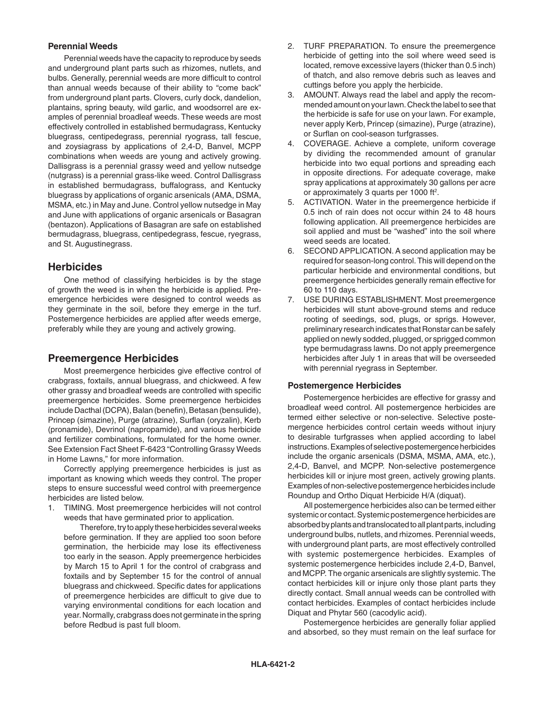#### **Perennial Weeds**

Perennial weeds have the capacity to reproduce by seeds and underground plant parts such as rhizomes, nutlets, and bulbs. Generally, perennial weeds are more difficult to control than annual weeds because of their ability to "come back" from underground plant parts. Clovers, curly dock, dandelion, plantains, spring beauty, wild garlic, and woodsorrel are examples of perennial broadleaf weeds. These weeds are most effectively controlled in established bermudagrass, Kentucky bluegrass, centipedegrass, perennial ryograss, tall fescue, and zoysiagrass by applications of 2,4-D, Banvel, MCPP combinations when weeds are young and actively growing. Dallisgrass is a perennial grassy weed and yellow nutsedge (nutgrass) is a perennial grass-like weed. Control Dallisgrass in established bermudagrass, buffalograss, and Kentucky bluegrass by applications of organic arsenicals (AMA, DSMA, MSMA, etc.) in May and June. Control yellow nutsedge in May and June with applications of organic arsenicals or Basagran (bentazon). Applications of Basagran are safe on established bermudagrass, bluegrass, centipedegrass, fescue, ryegrass, and St. Augustinegrass.

## **Herbicides**

One method of classifying herbicides is by the stage of growth the weed is in when the herbicide is applied. Preemergence herbicides were designed to control weeds as they germinate in the soil, before they emerge in the turf. Postemergence herbicides are applied after weeds emerge, preferably while they are young and actively growing.

# **Preemergence Herbicides**

Most preemergence herbicides give effective control of crabgrass, foxtails, annual bluegrass, and chickweed. A few other grassy and broadleaf weeds are controlled with specific preemergence herbicides. Some preemergence herbicides include Dacthal (DCPA), Balan (benefin), Betasan (bensulide), Princep (simazine), Purge (atrazine), Surflan (oryzalin), Kerb (pronamide), Devrinol (napropamide), and various herbicide and fertilizer combinations, formulated for the home owner. See Extension Fact Sheet F-6423 "Controlling Grassy Weeds in Home Lawns," for more information.

Correctly applying preemergence herbicides is just as important as knowing which weeds they control. The proper steps to ensure successful weed control with preemergence herbicides are listed below.

1. TIMING. Most preemergence herbicides will not control weeds that have germinated prior to application.

 Therefore, try to apply these herbicides several weeks before germination. If they are applied too soon before germination, the herbicide may lose its effectiveness too early in the season. Apply preemergence herbicides by March 15 to April 1 for the control of crabgrass and foxtails and by September 15 for the control of annual bluegrass and chickweed. Specific dates for applications of preemergence herbicides are difficult to give due to varying environmental conditions for each location and year. Normally, crabgrass does not germinate in the spring before Redbud is past full bloom.

- 2. TURF PREPARATION. To ensure the preemergence herbicide of getting into the soil where weed seed is located, remove excessive layers (thicker than 0.5 inch) of thatch, and also remove debris such as leaves and cuttings before you apply the herbicide.
- 3. AMOUNT. Always read the label and apply the recommended amount on your lawn. Check the label to see that the herbicide is safe for use on your lawn. For example, never apply Kerb, Princep (simazine), Purge (atrazine), or Surflan on cool-season turfgrasses.
- 4. COVERAGE. Achieve a complete, uniform coverage by dividing the recommended amount of granular herbicide into two equal portions and spreading each in opposite directions. For adequate coverage, make spray applications at approximately 30 gallons per acre or approximately 3 quarts per 1000 ft<sup>2</sup>.
- 5. ACTIVATION. Water in the preemergence herbicide if 0.5 inch of rain does not occur within 24 to 48 hours following application. All preemergence herbicides are soil applied and must be "washed" into the soil where weed seeds are located.
- 6. SECOND APPLICATION. A second application may be required for season-long control. This will depend on the particular herbicide and environmental conditions, but preemergence herbicides generally remain effective for 60 to 110 days.
- 7. USE DURING ESTABLISHMENT. Most preemergence herbicides will stunt above-ground stems and reduce rooting of seedings, sod, plugs, or sprigs. However, preliminary research indicates that Ronstar can be safely applied on newly sodded, plugged, or sprigged common type bermudagrass lawns. Do not apply preemergence herbicides after July 1 in areas that will be overseeded with perennial ryegrass in September.

#### **Postemergence Herbicides**

Postemergence herbicides are effective for grassy and broadleaf weed control. All postemergence herbicides are termed either selective or non-selective. Selective postemergence herbicides control certain weeds without injury to desirable turfgrasses when applied according to label instructions. Examples of selective postemergence herbicides include the organic arsenicals (DSMA, MSMA, AMA, etc.), 2,4-D, Banvel, and MCPP. Non-selective postemergence herbicides kill or injure most green, actively growing plants. Examples of non-selective postemergence herbicides include Roundup and Ortho Diquat Herbicide H/A (diquat).

All postemergence herbicides also can be termed either systemic or contact. Systemic postemergence herbicides are absorbed by plants and translocated to all plant parts, including underground bulbs, nutlets, and rhizomes. Perennial weeds, with underground plant parts, are most effectively controlled with systemic postemergence herbicides. Examples of systemic postemergence herbicides include 2,4-D, Banvel, and MCPP. The organic arsenicals are slightly systemic. The contact herbicides kill or injure only those plant parts they directly contact. Small annual weeds can be controlled with contact herbicides. Examples of contact herbicides include Diquat and Phytar 560 (cacodylic acid).

Postemergence herbicides are generally foliar applied and absorbed, so they must remain on the leaf surface for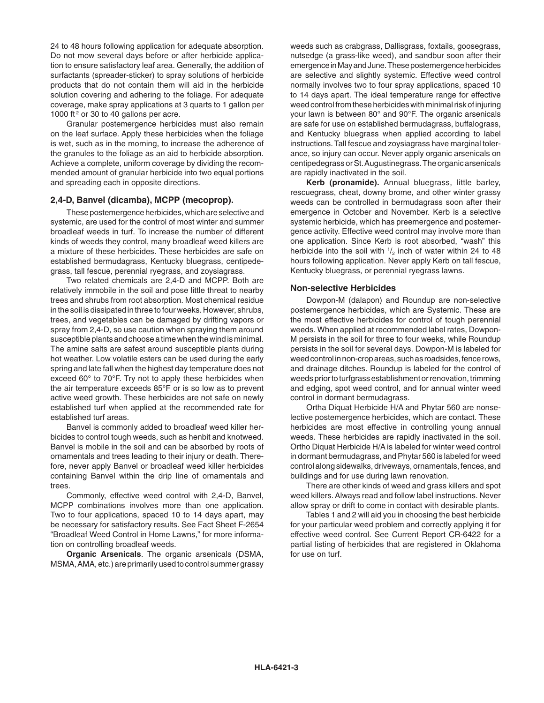24 to 48 hours following application for adequate absorption. Do not mow several days before or after herbicide application to ensure satisfactory leaf area. Generally, the addition of surfactants (spreader-sticker) to spray solutions of herbicide products that do not contain them will aid in the herbicide solution covering and adhering to the foliage. For adequate coverage, make spray applications at 3 quarts to 1 gallon per 1000 ft<sup>2</sup> or 30 to 40 gallons per acre.

Granular postemergence herbicides must also remain on the leaf surface. Apply these herbicides when the foliage is wet, such as in the morning, to increase the adherence of the granules to the foliage as an aid to herbicide absorption. Achieve a complete, uniform coverage by dividing the recommended amount of granular herbicide into two equal portions and spreading each in opposite directions.

#### **2,4-D, Banvel (dicamba), MCPP (mecoprop).**

These postemergence herbicides, which are selective and systemic, are used for the control of most winter and summer broadleaf weeds in turf. To increase the number of different kinds of weeds they control, many broadleaf weed killers are a mixture of these herbicides. These herbicides are safe on established bermudagrass, Kentucky bluegrass, centipedegrass, tall fescue, perennial ryegrass, and zoysiagrass.

Two related chemicals are 2,4-D and MCPP. Both are relatively immobile in the soil and pose little threat to nearby trees and shrubs from root absorption. Most chemical residue in the soil is dissipated in three to four weeks. However, shrubs, trees, and vegetables can be damaged by drifting vapors or spray from 2,4-D, so use caution when spraying them around susceptible plants and choose a time when the wind is minimal. The amine salts are safest around susceptible plants during hot weather. Low volatile esters can be used during the early spring and late fall when the highest day temperature does not exceed 60° to 70°F. Try not to apply these herbicides when the air temperature exceeds 85°F or is so low as to prevent active weed growth. These herbicides are not safe on newly established turf when applied at the recommended rate for established turf areas.

Banvel is commonly added to broadleaf weed killer herbicides to control tough weeds, such as henbit and knotweed. Banvel is mobile in the soil and can be absorbed by roots of ornamentals and trees leading to their injury or death. Therefore, never apply Banvel or broadleaf weed killer herbicides containing Banvel within the drip line of ornamentals and trees.

Commonly, effective weed control with 2,4-D, Banvel, MCPP combinations involves more than one application. Two to four applications, spaced 10 to 14 days apart, may be necessary for satisfactory results. See Fact Sheet F-2654 "Broadleaf Weed Control in Home Lawns," for more information on controlling broadleaf weeds.

**Organic Arsenicals**. The organic arsenicals (DSMA, MSMA, AMA, etc.) are primarily used to control summer grassy weeds such as crabgrass, Dallisgrass, foxtails, goosegrass, nutsedge (a grass-like weed), and sandbur soon after their emergence in May and June. These postemergence herbicides are selective and slightly systemic. Effective weed control normally involves two to four spray applications, spaced 10 to 14 days apart. The ideal temperature range for effective weed control from these herbicides with minimal risk of injuring your lawn is between 80° and 90°F. The organic arsenicals are safe for use on established bermudagrass, buffalograss, and Kentucky bluegrass when applied according to label instructions. Tall fescue and zoysiagrass have marginal tolerance, so injury can occur. Never apply organic arsenicals on centipedegrass or St. Augustinegrass. The organic arsenicals are rapidly inactivated in the soil.

**Kerb (pronamide).** Annual bluegrass, little barley, rescuegrass, cheat, downy brome, and other winter grassy weeds can be controlled in bermudagrass soon after their emergence in October and November. Kerb is a selective systemic herbicide, which has preemergence and postemergence activity. Effective weed control may involve more than one application. Since Kerb is root absorbed, "wash" this herbicide into the soil with  $\frac{1}{2}$  inch of water within 24 to 48 hours following application. Never apply Kerb on tall fescue, Kentucky bluegrass, or perennial ryegrass lawns.

#### **Non-selective Herbicides**

Dowpon-M (dalapon) and Roundup are non-selective postemergence herbicides, which are Systemic. These are the most effective herbicides for control of tough perennial weeds. When applied at recommended label rates, Dowpon-M persists in the soil for three to four weeks, while Roundup persists in the soil for several days. Dowpon-M is labeled for weed control in non-crop areas, such as roadsides, fence rows, and drainage ditches. Roundup is labeled for the control of weeds prior to turfgrass establishment or renovation, trimming and edging, spot weed control, and for annual winter weed control in dormant bermudagrass.

Ortha Diquat Herbicide H/A and Phytar 560 are nonselective postemergence herbicides, which are contact. These herbicides are most effective in controlling young annual weeds. These herbicides are rapidly inactivated in the soil. Ortho Diquat Herbicide H/A is labeled for winter weed control in dormant bermudagrass, and Phytar 560 is labeled for weed control along sidewalks, driveways, ornamentals, fences, and buildings and for use during lawn renovation.

There are other kinds of weed and grass killers and spot weed killers. Always read and follow label instructions. Never allow spray or drift to come in contact with desirable plants.

Tables 1 and 2 will aid you in choosing the best herbicide for your particular weed problem and correctly applying it for effective weed control. See Current Report CR-6422 for a partial listing of herbicides that are registered in Oklahoma for use on turf.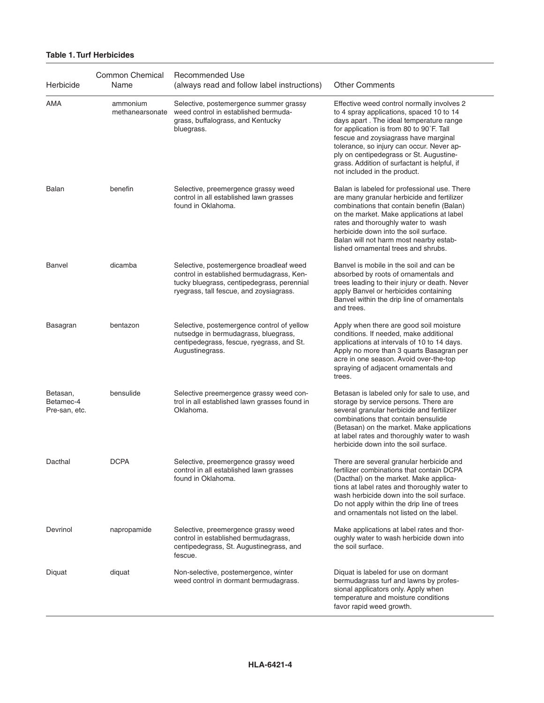#### **Table 1. Turf Herbicides**

| Herbicide                              | <b>Common Chemical</b><br>Name | Recommended Use<br>(always read and follow label instructions)                                                                                                                | <b>Other Comments</b>                                                                                                                                                                                                                                                                                                                                                                         |
|----------------------------------------|--------------------------------|-------------------------------------------------------------------------------------------------------------------------------------------------------------------------------|-----------------------------------------------------------------------------------------------------------------------------------------------------------------------------------------------------------------------------------------------------------------------------------------------------------------------------------------------------------------------------------------------|
| AMA                                    | ammonium<br>methanearsonate    | Selective, postemergence summer grassy<br>weed control in established bermuda-<br>grass, buffalograss, and Kentucky<br>bluegrass.                                             | Effective weed control normally involves 2<br>to 4 spray applications, spaced 10 to 14<br>days apart. The ideal temperature range<br>for application is from 80 to 90°F. Tall<br>fescue and zoysiagrass have marginal<br>tolerance, so injury can occur. Never ap-<br>ply on centipedegrass or St. Augustine-<br>grass. Addition of surfactant is helpful, if<br>not included in the product. |
| Balan                                  | benefin                        | Selective, preemergence grassy weed<br>control in all established lawn grasses<br>found in Oklahoma.                                                                          | Balan is labeled for professional use. There<br>are many granular herbicide and fertilizer<br>combinations that contain benefin (Balan)<br>on the market. Make applications at label<br>rates and thoroughly water to wash<br>herbicide down into the soil surface.<br>Balan will not harm most nearby estab-<br>lished ornamental trees and shrubs.                                          |
| Banvel                                 | dicamba                        | Selective, postemergence broadleaf weed<br>control in established bermudagrass, Ken-<br>tucky bluegrass, centipedegrass, perennial<br>ryegrass, tall fescue, and zoysiagrass. | Banvel is mobile in the soil and can be<br>absorbed by roots of ornamentals and<br>trees leading to their injury or death. Never<br>apply Banvel or herbicides containing<br>Banvel within the drip line of ornamentals<br>and trees.                                                                                                                                                         |
| Basagran                               | bentazon                       | Selective, postemergence control of yellow<br>nutsedge in bermudagrass, bluegrass,<br>centipedegrass, fescue, ryegrass, and St.<br>Augustinegrass.                            | Apply when there are good soil moisture<br>conditions. If needed, make additional<br>applications at intervals of 10 to 14 days.<br>Apply no more than 3 quarts Basagran per<br>acre in one season. Avoid over-the-top<br>spraying of adjacent ornamentals and<br>trees.                                                                                                                      |
| Betasan,<br>Betamec-4<br>Pre-san, etc. | bensulide                      | Selective preemergence grassy weed con-<br>trol in all established lawn grasses found in<br>Oklahoma.                                                                         | Betasan is labeled only for sale to use, and<br>storage by service persons. There are<br>several granular herbicide and fertilizer<br>combinations that contain bensulide<br>(Betasan) on the market. Make applications<br>at label rates and thoroughly water to wash<br>herbicide down into the soil surface.                                                                               |
| Dacthal                                | <b>DCPA</b>                    | Selective, preemergence grassy weed<br>control in all established lawn grasses<br>found in Oklahoma.                                                                          | There are several granular herbicide and<br>fertilizer combinations that contain DCPA<br>(Dacthal) on the market. Make applica-<br>tions at label rates and thoroughly water to<br>wash herbicide down into the soil surface.<br>Do not apply within the drip line of trees<br>and ornamentals not listed on the label.                                                                       |
| Devrinol                               | napropamide                    | Selective, preemergence grassy weed<br>control in established bermudagrass,<br>centipedegrass, St. Augustinegrass, and<br>fescue.                                             | Make applications at label rates and thor-<br>oughly water to wash herbicide down into<br>the soil surface.                                                                                                                                                                                                                                                                                   |
| Diquat                                 | diquat                         | Non-selective, postemergence, winter<br>weed control in dormant bermudagrass.                                                                                                 | Diquat is labeled for use on dormant<br>bermudagrass turf and lawns by profes-<br>sional applicators only. Apply when<br>temperature and moisture conditions<br>favor rapid weed growth.                                                                                                                                                                                                      |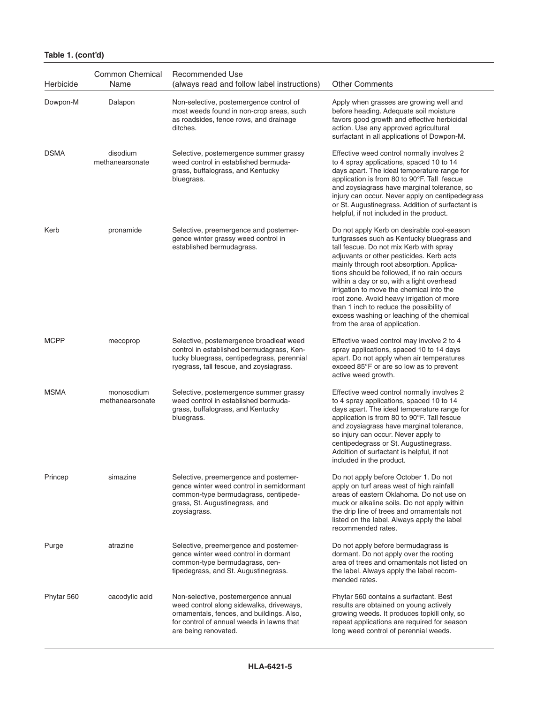| Table 1. (cont'd) |  |  |
|-------------------|--|--|
|-------------------|--|--|

| Herbicide   | <b>Common Chemical</b><br>Name | Recommended Use<br>(always read and follow label instructions)                                                                                                                                    | <b>Other Comments</b>                                                                                                                                                                                                                                                                                                                                                                                                                                                                                                                       |
|-------------|--------------------------------|---------------------------------------------------------------------------------------------------------------------------------------------------------------------------------------------------|---------------------------------------------------------------------------------------------------------------------------------------------------------------------------------------------------------------------------------------------------------------------------------------------------------------------------------------------------------------------------------------------------------------------------------------------------------------------------------------------------------------------------------------------|
| Dowpon-M    | Dalapon                        | Non-selective, postemergence control of<br>most weeds found in non-crop areas, such<br>as roadsides, fence rows, and drainage<br>ditches.                                                         | Apply when grasses are growing well and<br>before heading. Adequate soil moisture<br>favors good growth and effective herbicidal<br>action. Use any approved agricultural<br>surfactant in all applications of Dowpon-M.                                                                                                                                                                                                                                                                                                                    |
| <b>DSMA</b> | disodium<br>methanearsonate    | Selective, postemergence summer grassy<br>weed control in established bermuda-<br>grass, buffalograss, and Kentucky<br>bluegrass.                                                                 | Effective weed control normally involves 2<br>to 4 spray applications, spaced 10 to 14<br>days apart. The ideal temperature range for<br>application is from 80 to 90°F. Tall fescue<br>and zoysiagrass have marginal tolerance, so<br>injury can occur. Never apply on centipedegrass<br>or St. Augustinegrass. Addition of surfactant is<br>helpful, if not included in the product.                                                                                                                                                      |
| Kerb        | pronamide                      | Selective, preemergence and postemer-<br>gence winter grassy weed control in<br>established bermudagrass.                                                                                         | Do not apply Kerb on desirable cool-season<br>turfgrasses such as Kentucky bluegrass and<br>tall fescue. Do not mix Kerb with spray<br>adjuvants or other pesticides. Kerb acts<br>mainly through root absorption. Applica-<br>tions should be followed, if no rain occurs<br>within a day or so, with a light overhead<br>irrigation to move the chemical into the<br>root zone. Avoid heavy irrigation of more<br>than 1 inch to reduce the possibility of<br>excess washing or leaching of the chemical<br>from the area of application. |
| <b>MCPP</b> | mecoprop                       | Selective, postemergence broadleaf weed<br>control in established bermudagrass, Ken-<br>tucky bluegrass, centipedegrass, perennial<br>ryegrass, tall fescue, and zoysiagrass.                     | Effective weed control may involve 2 to 4<br>spray applications, spaced 10 to 14 days<br>apart. Do not apply when air temperatures<br>exceed 85°F or are so low as to prevent<br>active weed growth.                                                                                                                                                                                                                                                                                                                                        |
| <b>MSMA</b> | monosodium<br>methanearsonate  | Selective, postemergence summer grassy<br>weed control in established bermuda-<br>grass, buffalograss, and Kentucky<br>bluegrass.                                                                 | Effective weed control normally involves 2<br>to 4 spray applications, spaced 10 to 14<br>days apart. The ideal temperature range for<br>application is from 80 to 90°F. Tall fescue<br>and zoysiagrass have marginal tolerance,<br>so injury can occur. Never apply to<br>centipedegrass or St. Augustinegrass.<br>Addition of surfactant is helpful, if not<br>included in the product.                                                                                                                                                   |
| Princep     | simazine                       | Selective, preemergence and postemer-<br>gence winter weed control in semidormant<br>common-type bermudagrass, centipede-<br>grass, St. Augustinegrass, and<br>zoysiagrass.                       | Do not apply before October 1. Do not<br>apply on turf areas west of high rainfall<br>areas of eastern Oklahoma. Do not use on<br>muck or alkaline soils. Do not apply within<br>the drip line of trees and ornamentals not<br>listed on the label. Always apply the label<br>recommended rates.                                                                                                                                                                                                                                            |
| Purge       | atrazine                       | Selective, preemergence and postemer-<br>gence winter weed control in dormant<br>common-type bermudagrass, cen-<br>tipedegrass, and St. Augustinegrass.                                           | Do not apply before bermudagrass is<br>dormant. Do not apply over the rooting<br>area of trees and ornamentals not listed on<br>the label. Always apply the label recom-<br>mended rates.                                                                                                                                                                                                                                                                                                                                                   |
| Phytar 560  | cacodylic acid                 | Non-selective, postemergence annual<br>weed control along sidewalks, driveways,<br>ornamentals, fences, and buildings. Also,<br>for control of annual weeds in lawns that<br>are being renovated. | Phytar 560 contains a surfactant. Best<br>results are obtained on young actively<br>growing weeds. It produces topkill only, so<br>repeat applications are required for season<br>long weed control of perennial weeds.                                                                                                                                                                                                                                                                                                                     |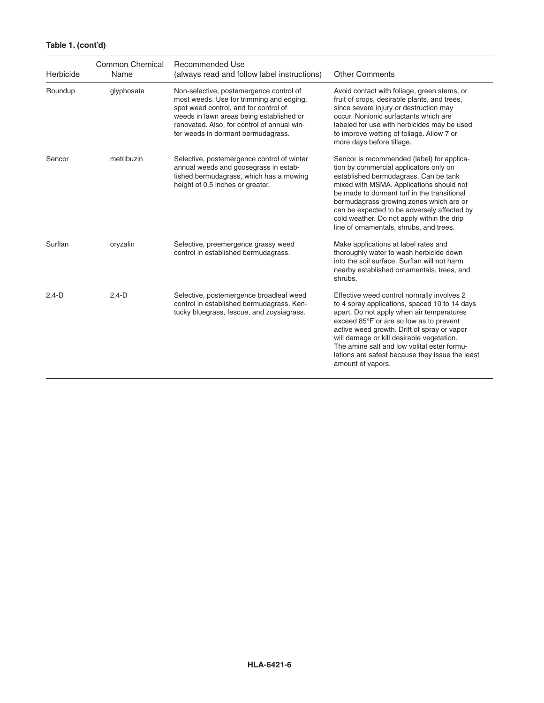# **Table 1. (cont'd)**

| Herbicide | <b>Common Chemical</b><br>Name | Recommended Use<br>(always read and follow label instructions)                                                                                                                                                                                                | <b>Other Comments</b>                                                                                                                                                                                                                                                                                                                                                                                       |
|-----------|--------------------------------|---------------------------------------------------------------------------------------------------------------------------------------------------------------------------------------------------------------------------------------------------------------|-------------------------------------------------------------------------------------------------------------------------------------------------------------------------------------------------------------------------------------------------------------------------------------------------------------------------------------------------------------------------------------------------------------|
| Roundup   | glyphosate                     | Non-selective, postemergence control of<br>most weeds. Use for trimming and edging,<br>spot weed control, and for control of<br>weeds in lawn areas being established or<br>renovated. Also, for control of annual win-<br>ter weeds in dormant bermudagrass. | Avoid contact with foliage, green stems, or<br>fruit of crops, desirable plants, and trees,<br>since severe injury or destruction may<br>occur. Nonionic surfactants which are<br>labeled for use with herbicides may be used<br>to improve wetting of foliage. Allow 7 or<br>more days before tillage.                                                                                                     |
| Sencor    | metribuzin                     | Selective, postemergence control of winter<br>annual weeds and goosegrass in estab-<br>lished bermudagrass, which has a mowing<br>height of 0.5 inches or greater.                                                                                            | Sencor is recommended (label) for applica-<br>tion by commercial applicators only on<br>established bermudagrass. Can be tank<br>mixed with MSMA. Applications should not<br>be made to dormant turf in the transitional<br>bermudagrass growing zones which are or<br>can be expected to be adversely affected by<br>cold weather. Do not apply within the drip<br>line of ornamentals, shrubs, and trees. |
| Surflan   | oryzalin                       | Selective, preemergence grassy weed<br>control in established bermudagrass.                                                                                                                                                                                   | Make applications at label rates and<br>thoroughly water to wash herbicide down<br>into the soil surface. Surflan will not harm<br>nearby established ornamentals, trees, and<br>shrubs.                                                                                                                                                                                                                    |
| $2,4-D$   | $2,4-D$                        | Selective, postemergence broadleaf weed<br>control in established bermudagrass, Ken-<br>tucky bluegrass, fescue, and zoysiagrass.                                                                                                                             | Effective weed control normally involves 2<br>to 4 spray applications, spaced 10 to 14 days<br>apart. Do not apply when air temperatures<br>exceed 85°F or are so low as to prevent<br>active weed growth. Drift of spray or vapor<br>will damage or kill desirable vegetation.<br>The amine salt and low volital ester formu-<br>lations are safest because they issue the least<br>amount of vapors.      |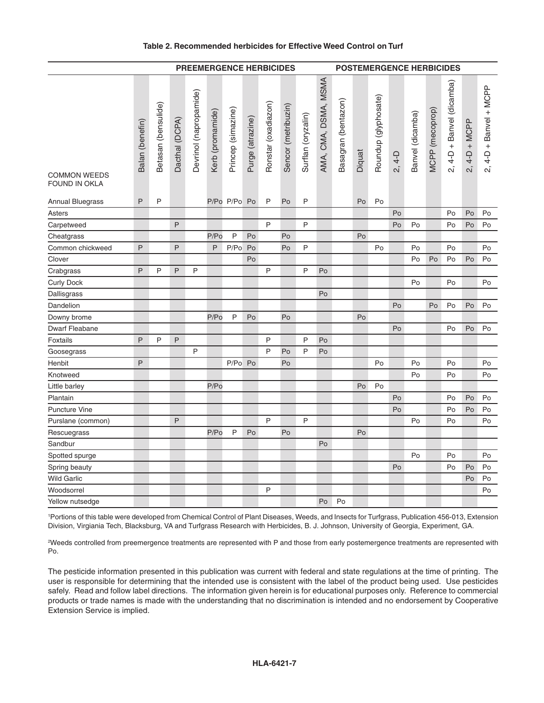#### **Table 2. Recommended herbicides for Effective Weed Control on Turf**

|                                      | <b>PREEMERGENCE HERBICIDES</b> |                     |                |                        |                  |                    |                  | <b>POSTEMERGENCE HERBICIDES</b> |                     |                    |                      |                     |        |                      |          |                  |                 |                                         |                                          |                          |
|--------------------------------------|--------------------------------|---------------------|----------------|------------------------|------------------|--------------------|------------------|---------------------------------|---------------------|--------------------|----------------------|---------------------|--------|----------------------|----------|------------------|-----------------|-----------------------------------------|------------------------------------------|--------------------------|
| <b>COMMON WEEDS</b><br>FOUND IN OKLA | Balan (benefin)                | Betasan (bensulide) | Dacthal (DCPA) | Devrinol (napropamide) | Kerb (promamide) | Princep (simazine) | Purge (atrazine) | Ronstar (oxadiazon)             | Sencor (metribuzin) | Surflan (oryzalin) | AMA, CMA, DSMA, MSMA | Basagran (bentazon) | Diquat | Roundup (glyphosate) | $2, 4-D$ | Banvel (dicamba) | MCPP (mecoprop) | 4-D + Banvel (dicamba)<br>$\mathcal{L}$ | $4-D + MCPP$<br>$\overline{\mathcal{N}}$ | $2, 4-D + Banvel + MCPP$ |
| <b>Annual Bluegrass</b>              | P                              | P                   |                |                        |                  | P/Po P/Po Po       |                  | P                               | Po                  | P                  |                      |                     | Po     | Po                   |          |                  |                 |                                         |                                          |                          |
| Asters                               |                                |                     |                |                        |                  |                    |                  |                                 |                     |                    |                      |                     |        |                      | Po       |                  |                 | Po                                      | Po                                       | Po                       |
| Carpetweed                           |                                |                     | P              |                        |                  |                    |                  | P                               |                     | P                  |                      |                     |        |                      | Po       | Po               |                 | Po                                      | Po                                       | Po                       |
| Cheatgrass                           |                                |                     |                |                        | P/Po             | P                  | Po               |                                 | Po                  |                    |                      |                     | Po     |                      |          |                  |                 |                                         |                                          |                          |
| Common chickweed                     | P                              |                     | $\mathsf{P}$   |                        | P                | P/Po Po            |                  |                                 | Po                  | P                  |                      |                     |        | Po                   |          | Po               |                 | Po                                      |                                          | Po                       |
| Clover                               |                                |                     |                |                        |                  |                    | Po               |                                 |                     |                    |                      |                     |        |                      |          | Po               | Po              | Po                                      | Po                                       | Po                       |
| Crabgrass                            | P                              | P                   | P              | P                      |                  |                    |                  | P                               |                     | P                  | Po                   |                     |        |                      |          |                  |                 |                                         |                                          |                          |
| <b>Curly Dock</b>                    |                                |                     |                |                        |                  |                    |                  |                                 |                     |                    |                      |                     |        |                      |          | Po               |                 | Po                                      |                                          | Po                       |
| Dallisgrass                          |                                |                     |                |                        |                  |                    |                  |                                 |                     |                    | Po                   |                     |        |                      |          |                  |                 |                                         |                                          |                          |
| Dandelion                            |                                |                     |                |                        |                  |                    |                  |                                 |                     |                    |                      |                     |        |                      | Po       |                  | Po              | $\mathsf{Po}$                           | Po                                       | Po                       |
| Downy brome                          |                                |                     |                |                        | P/Po             | P                  | Po               |                                 | Po                  |                    |                      |                     | Po     |                      |          |                  |                 |                                         |                                          |                          |
| <b>Dwarf Fleabane</b>                |                                |                     |                |                        |                  |                    |                  |                                 |                     |                    |                      |                     |        |                      | Po       |                  |                 | Po                                      | Po                                       | Po                       |
| Foxtails                             | P                              | P                   | P              |                        |                  |                    |                  | P                               |                     | P                  | Po                   |                     |        |                      |          |                  |                 |                                         |                                          |                          |
| Goosegrass                           |                                |                     |                | P                      |                  |                    |                  | P                               | Po                  | P                  | Po                   |                     |        |                      |          |                  |                 |                                         |                                          |                          |
| Henbit                               | P                              |                     |                |                        |                  | P/Po Po            |                  |                                 | Po                  |                    |                      |                     |        | Po                   |          | Po               |                 | Po                                      |                                          | Po                       |
| Knotweed                             |                                |                     |                |                        |                  |                    |                  |                                 |                     |                    |                      |                     |        |                      |          | Po               |                 | Po                                      |                                          | Po                       |
| Little barley                        |                                |                     |                |                        | P/Po             |                    |                  |                                 |                     |                    |                      |                     | Po     | Po                   |          |                  |                 |                                         |                                          |                          |
| Plantain                             |                                |                     |                |                        |                  |                    |                  |                                 |                     |                    |                      |                     |        |                      | Po       |                  |                 | Po                                      | Po                                       | Po                       |
| <b>Puncture Vine</b>                 |                                |                     |                |                        |                  |                    |                  |                                 |                     |                    |                      |                     |        |                      | Po       |                  |                 | Po                                      | Po                                       | Po                       |
| Purslane (common)                    |                                |                     | P              |                        |                  |                    |                  | P                               |                     | P                  |                      |                     |        |                      |          | Po               |                 | Po                                      |                                          | Po                       |
| Rescuegrass                          |                                |                     |                |                        | P/Po             | P                  | Po               |                                 | Po                  |                    |                      |                     | Po     |                      |          |                  |                 |                                         |                                          |                          |
| Sandbur                              |                                |                     |                |                        |                  |                    |                  |                                 |                     |                    | Po                   |                     |        |                      |          |                  |                 |                                         |                                          |                          |
| Spotted spurge                       |                                |                     |                |                        |                  |                    |                  |                                 |                     |                    |                      |                     |        |                      |          | Po               |                 | Po                                      |                                          | Po                       |
| Spring beauty                        |                                |                     |                |                        |                  |                    |                  |                                 |                     |                    |                      |                     |        |                      | Po       |                  |                 | Po                                      | Po                                       | Po                       |
| Wild Garlic                          |                                |                     |                |                        |                  |                    |                  |                                 |                     |                    |                      |                     |        |                      |          |                  |                 |                                         | Po                                       | Po                       |
| Woodsorrel                           |                                |                     |                |                        |                  |                    |                  | P                               |                     |                    |                      |                     |        |                      |          |                  |                 |                                         |                                          | Po                       |
| Yellow nutsedge                      |                                |                     |                |                        |                  |                    |                  |                                 |                     |                    | Po                   | Po                  |        |                      |          |                  |                 |                                         |                                          |                          |

1 Portions of this table were developed from Chemical Control of Plant Diseases, Weeds, and Insects for Turfgrass, Publication 456-013, Extension Division, Virgiania Tech, Blacksburg, VA and Turfgrass Research with Herbicides, B. J. Johnson, University of Georgia, Experiment, GA.

2 Weeds controlled from preemergence treatments are represented with P and those from early postemergence treatments are represented with Po.

The pesticide information presented in this publication was current with federal and state regulations at the time of printing. The user is responsible for determining that the intended use is consistent with the label of the product being used. Use pesticides safely. Read and follow label directions. The information given herein is for educational purposes only. Reference to commercial products or trade names is made with the understanding that no discrimination is intended and no endorsement by Cooperative Extension Service is implied.